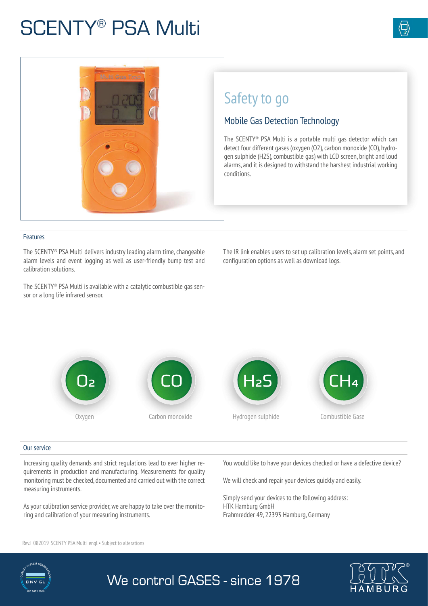# **SCENTY® PSA Multi**



#### Features

The SCENTY® PSA Multi delivers industry leading alarm time, changeable alarm levels and event logging as well as user-friendly bump test and calibration solutions.

The IR link enables users to set up calibration levels, alarm set points, and configuration options as well as download logs.

The SCENTY® PSA Multi is available with a catalytic combustible gas sensor or a long life infrared sensor.



#### Our service

Increasing quality demands and strict regulations lead to ever higher requirements in production and manufacturing. Measurements for quality monitoring must be checked, documented and carried out with the correct measuring instruments.

As your calibration service provider, we are happy to take over the monitoring and calibration of your measuring instruments.

Rev.I\_082019\_SCENTY PSA Multi\_engl • Subject to alterations

You would like to have your devices checked or have a defective device?

We will check and repair your devices quickly and easily.

Simply send your devices to the following address: HTK Hamburg GmbH Frahmredder 49, 22393 Hamburg, Germany



## We control GASES - since 1978